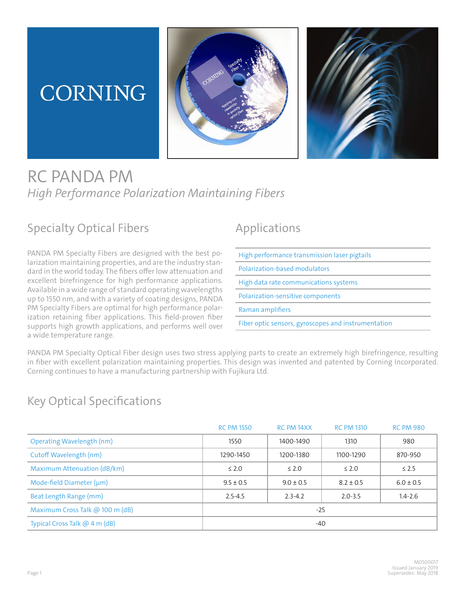# CORNING





## RC PANDA PM *High Performance Polarization Maintaining Fibers*

#### Specialty Optical Fibers

PANDA PM Specialty Fibers are designed with the best polarization maintaining properties, and are the industry standard in the world today. The fibers offer low attenuation and excellent birefringence for high performance applications. Available in a wide range of standard operating wavelengths up to 1550 nm, and with a variety of coating designs, PANDA PM Specialty Fibers are optimal for high performance polarization retaining fiber applications. This field-proven fiber supports high growth applications, and performs well over a wide temperature range.

### Applications

| High performance transmission laser pigtails        |
|-----------------------------------------------------|
| Polarization-based modulators                       |
| High data rate communications systems               |
| Polarization-sensitive components                   |
| Raman amplifiers                                    |
| Fiber optic sensors, gyroscopes and instrumentation |
|                                                     |

PANDA PM Specialty Optical Fiber design uses two stress applying parts to create an extremely high birefringence, resulting in fiber with excellent polarization maintaining properties. This design was invented and patented by Corning Incorporated. Corning continues to have a manufacturing partnership with Fujikura Ltd.

#### Key Optical Specifications

|                                  | <b>RC PM 1550</b> | RC PM 14XX    | <b>RC PM 1310</b> | <b>RC PM 980</b> |  |
|----------------------------------|-------------------|---------------|-------------------|------------------|--|
| <b>Operating Wavelength (nm)</b> | 1550              | 1400-1490     | 1310              | 980              |  |
| Cutoff Wavelength (nm)           | 1290-1450         | 1200-1380     | 1100-1290         | 870-950          |  |
| Maximum Attenuation (dB/km)      | $\leq 2.0$        | $\leq 2.0$    | $\leq 2.0$        | $\leq$ 2.5       |  |
| Mode-field Diameter $(\mu m)$    | $9.5 \pm 0.5$     | $9.0 \pm 0.5$ | $8.2 \pm 0.5$     | $6.0 \pm 0.5$    |  |
| Beat Length Range (mm)           | $2.5 - 4.5$       | $2.3 - 4.2$   | $2.0 - 3.5$       | $1.4 - 2.6$      |  |
| Maximum Cross Talk @ 100 m (dB)  | $-25$             |               |                   |                  |  |
| Typical Cross Talk @ 4 m (dB)    | $-40$             |               |                   |                  |  |